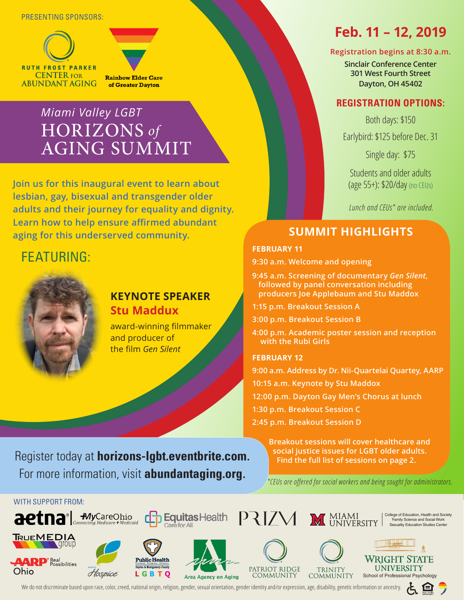### PRESENTING SPONSORS:





of Greater Dayton

# *Miami Valley LGBT* HORIZONS *of* AGING SUMMIT

**Join us for this inaugural event to learn about lesbian, gay, bisexual and transgender older adults and their journey for equality and dignity. Learn how to help ensure affirmed abundant aging for this underserved community.**

# FEATURING:



## **KEYNOTE SPEAKER Stu Maddux**

award-winning filmmaker and producer of the film *Gen Silent*

# **Feb. 11 – 12, 2019**

### **Registration begins at 8:30 a.m.**

**Sinclair Conference Center 301 West Fourth Street Dayton, OH 45402**

## **REGISTRATION OPTIONS:**

Both days: \$150

Earlybird: \$125 before Dec. 31

Single day: \$75

Students and older adults (age 55+): \$20/day (no CEUs)

*Lunch and CEUs\* are included.*

# **SUMMIT HIGHLIGHTS**

### **FEBRUARY 11**

**9:30 a.m. Welcome and opening**

**9:45 a.m. Screening of documentary** *Gen Silent***, followed by panel conversation including producers Joe Applebaum and Stu Maddox**

**1:15 p.m. Breakout Session A**

**3:00 p.m. Breakout Session B**

**4:00 p.m. Academic poster session and reception with the Rubi Girls**

### **FEBRUARY 12**

**9:00 a.m. Address by Dr. Nii-Quartelai Quartey, AARP 10:15 a.m. Keynote by Stu Maddox 12:00 p.m. Dayton Gay Men's Chorus at lunch 1:30 p.m. Breakout Session C 2:45 p.m. Breakout Session D**

**Breakout sessions will cover healthcare and social justice issues for LGBT older adults. Find the full list of sessions on page 2.**

Register today at **horizons-lgbt.eventbrite.com**. For more information, visit **abundantaging.org**.

*\*CEUs are offered for social workers and being sought for administrators.*



We do not discriminate based upon race, color, creed, national origin, religion, gender, sexual orientation, gender identity and/or expression, age, disability, genetic information or ancestry.